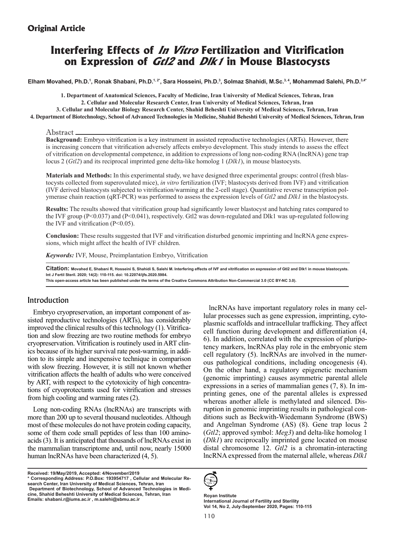# **Original Article**

# **Interfering Effects of In Vitro Fertilization and Vitrification on Expression of Gtl2 and Dlk1 in Mouse Blastocysts**

**Elham Movahed, Ph.D.1 , Ronak Shabani, Ph.D.1, 2\*, Sara Hosseini, Ph.D.3 , Solmaz Shahidi, M.Sc.3, 4, Mohammad Salehi, Ph.D.3,4\***

**1. Department of Anatomical Sciences, Faculty of Medicine, Iran University of Medical Sciences, Tehran, Iran 2. Cellular and Molecular Research Center, Iran University of Medical Sciences, Tehran, Iran 3. Cellular and Molecular Biology Research Center, Shahid Beheshti University of Medical Sciences, Tehran, Iran**

**4. Department of Biotechnology, School of Advanced Technologies in Medicine, Shahid Beheshti University of Medical Sciences, Tehran, Iran**

#### Abstract

**Background:** Embryo vitrification is a key instrument in assisted reproductive technologies (ARTs). However, there is increasing concern that vitrification adversely affects embryo development. This study intends to assess the effect of vitrification on developmental competence, in addition to expressions of long non-coding RNA (lncRNA) gene trap locus 2 (*Gtl2*) and its reciprocal imprinted gene delta-like homolog 1 (*Dlk1*), in mouse blastocysts.

**Materials and Methods:** In this experimental study, we have designed three experimental groups: control (fresh blastocysts collected from superovulated mice), *in vitro* fertilization (IVF; blastocysts derived from IVF) and vitrification (IVF derived blastocysts subjected to vitrification/warming at the 2-cell stage). Quantitative reverse transcription polymerase chain reaction (qRT-PCR) was performed to assess the expression levels of *Gtl2* and *Dlk1* in the blastocysts.

**Results:** The results showed that vitrification group had significantly lower blastocyst and hatching rates compared to the IVF group (P<0.037) and (P<0.041), respectively. Gtl2 was down-regulated and Dlk1 was up-regulated following the IVF and vitrification  $(P<0.05)$ .

**Conclusion:** These results suggested that IVF and vitrification disturbed genomic imprinting and lncRNA gene expressions, which might affect the health of IVF children.

*Keywords:* IVF, Mouse, Preimplantation Embryo, Vitrification

**Citation: Movahed E, Shabani R, Hosseini S, Shahidi S, Salehi M. Interfering effects of IVF and vitrification on expression of Gtl2 and Dlk1 in mouse blastocysts. Int J Fertil Steril. 2020; 14(2): 110-115. doi: 10.22074/ijfs.2020.5984.**

**This open-access article has been published under the terms of the Creative Commons Attribution Non-Commercial 3.0 (CC BY-NC 3.0).**

### Introduction

Embryo cryopreservation, an important component of assisted reproductive technologies (ARTs), has considerably improved the clinical results of this technology (1). Vitrification and slow freezing are two routine methods for embryo cryopreservation. Vitrification is routinely used in ART clinics because of its higher survival rate post-warming, in addition to its simple and inexpensive technique in comparison with slow freezing. However, it is still not known whether vitrification affects the health of adults who were conceived by ART, with respect to the cytotoxicity of high concentrations of cryoprotectants used for vitrification and stresses from high cooling and warming rates (2).

Long non-coding RNAs (lncRNAs) are transcripts with more than 200 up to several thousand nucleotides. Although most of these molecules do not have protein coding capacity, some of them code small peptides of less than 100 aminoacids (3). It is anticipated that thousands of lncRNAs exist in the mammalian transcriptome and, until now, nearly 15000 human lncRNAs have been characterized (4, 5).

**Received: 19/May/2019, Accepted: 4/November/2019**

**<sup>\*</sup> Corresponding Address: P.O.Box: 193954717 , Cellular and Molecular Research Center, Iran University of Medical Sciences, Tehran, Iran Department of Biotechnology, School of Advanced Technologies in Medicine, Shahid Beheshti University of Medical Sciences, Tehran, Iran Emails: shabani.r@iums.ac.ir , m.salehi@sbmu.ac.ir**





**Royan Institute International Journal of Fertility and Sterility Vol 14, No 2, July-September 2020, Pages: 110-115**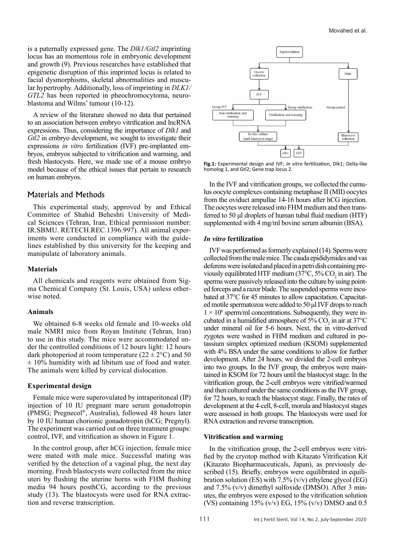is a paternally expressed gene. The *Dlk1/Gtl2* imprinting locus has an momentous role in embryonic development and growth (9). Previous researches have established that epigenetic disruption of this imprinted locus is related to facial dysmorphisms, skeletal abnormalities and muscular hypertrophy. Additionally, loss of imprinting in *DLK1/ GTL2* has been reported in pheochromocytoma, neuroblastoma and Wilms' tumour (10-12).

A review of the literature showed no data that pertained to an association between embryo vitrification and lncRNA expressions. Thus, considering the importance of *Dlk1* and *Gtl2* in embryo development, we sought to investigate their expressions *in vitro* fertilization (IVF) pre-implanted embryos, embryos subjected to vitrification and warming, and fresh blastocysts. Here, we made use of a mouse embryo model because of the ethical issues that pertain to research on human embryos.

### Materials and Methods

This experimental study, approved by and Ethical Committee of Shahid Beheshti University of Medical Sciences (Tehran, Iran, Ethical permission number: IR.SBMU. RETECH.REC.1396.997). All animal experiments were conducted in compliance with the guidelines established by this university for the keeping and manipulate of laboratory animals.

#### **Materials**

All chemicals and reagents were obtained from Sigma Chemical Company (St. Louis, USA) unless otherwise noted.

#### **Animals**

We obtained 6-8 weeks old female and 10-weeks old male NMRI mice from Royan Institute (Tehran, Iran) to use in this study. The mice were accommodated under the controlled conditions of 12 hours light: 12 hours dark photoperiod at room temperature  $(22 \pm 2^{\circ}C)$  and 50  $\pm$  10% humidity with ad libitum use of food and water. The animals were killed by cervical dislocation.

#### **Experimental design**

Female mice were superovulated by intraperitoneal (IP) injection of 10 IU pregnant mare serum gonadotropin (PMSG; Pregnecol®, Australia), followed 48 hours later by 10 IU human chorionic gonadotropin (hCG; Pregnyl). The experiment was carried out on three treatment groups: control, IVF, and vitrification as shown in Figure 1.

In the control group, after hCG injection, female mice were mated with male mice. Successful mating was verified by the detection of a vaginal plug, the next day morning. Fresh blastocysts were collected from the mice uteri by flushing the uterine horns with FHM flushing media 94 hours posthCG, according to the previous study (13). The blastocysts were used for RNA extraction and reverse transcription.



**Fig.1:** Experimental design and IVF; *In vitro* fertilization, Dlk1; Delta-like homolog 1, and Gtl2; Gene trap locus 2.

In the IVF and vitrification groups, we collected the cumulus oocyte complexes containing metaphase II (MII) oocytes from the oviduct ampullae 14-16 hours after hCG injection. The oocytes were released into FHM medium and then transferred to 50 μl droplets of human tubal fluid medium (HTF) supplemented with 4 mg/ml bovine serum albumin (BSA).

### *In vitro* **fertilization**

IVF was performed as formerly explained (14). Sperms were collected from the male mice. The cauda epididymides and vas deferens were isolated and placed in a petri dish containing previously equilibrated HTF medium (37 $\degree$ C, 5% CO<sub>2</sub> in air). The sperms were passively released into the culture by using pointed forceps and a razor blade. The suspended sperms were incubated at 37°C for 45 minutes to allow capacitation. Capacitated motile spermatozoa were added to 50 μl IVF drops to reach  $1 \times 10^6$  sperm/ml concentrations. Subsequently, they were incubated in a humidified atmosphere of  $5\%$  CO<sub>2</sub> in air at 37<sup>o</sup>C under mineral oil for 5-6 hours. Next, the in vitro-derived zygotes were washed in FHM medium and cultured in potassium simplex optimized medium (KSOM) supplemented with 4% BSA under the same conditions to allow for further development. After 24 hours, we divided the 2-cell embryos into two groups. In the IVF group, the embryos were maintained in KSOM for 72 hours until the blastocyst stage. In the vitrification group, the 2-cell embryos were vitrified/warmed and then cultured under the same conditions as the IVF group, for 72 hours, to reach the blastocyst stage. Finally, the rates of development at the 4-cell, 8-cell, morula and blastocyst stages were assessed in both groups. The blastocysts were used for RNA extraction and reverse transcription.

#### **Vitrification and warming**

In the vitrification group, the 2-cell embryos were vitrified by the cryotop method with Kitazato Vitrification Kit (Kitazato Biopharmaceuticals, Japan), as previously described (15). Briefly, embryos were equilibrated in equilibration solution (ES) with  $7.5\%$  (v/v) ethylene glycol (EG) and 7.5% (v/v) dimethyl sulfoxide (DMSO). After 3 minutes, the embryos were exposed to the vitrification solution (VS) containing 15% (v/v) EG, 15% (v/v) DMSO and  $0.5$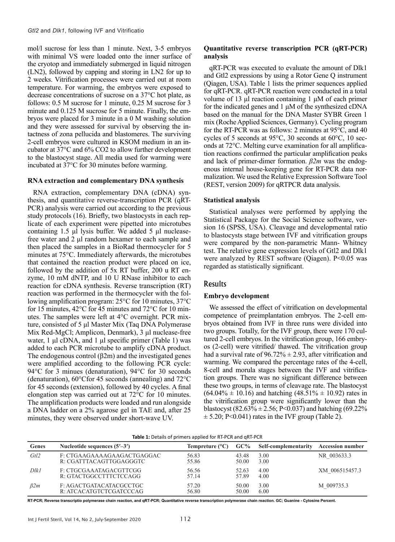mol/l sucrose for less than 1 minute. Next, 3-5 embryos with minimal VS were loaded onto the inner surface of the cryotop and immediately submerged in liquid nitrogen (LN2), followed by capping and storing in LN2 for up to 2 weeks. Vitrification processes were carried out at room temperature. For warming, the embryos were exposed to decrease concentrations of sucrose on a 37°C hot plate, as follows: 0.5 M sucrose for 1 minute, 0.25 M sucrose for 3 minute and 0.125 M sucrose for 5 minute. Finally, the embryos were placed for 3 minute in a 0 M washing solution and they were assessed for survival by observing the intactness of zona pellucida and blastomeres. The surviving 2-cell embryos were cultured in KSOM medium in an incubator at 37°C and 6% CO2 to allow further development to the blastocyst stage. All media used for warming were incubated at 37°C for 30 minutes before warming.

#### **RNA extraction and complementary DNA synthesis**

RNA extraction, complementary DNA (cDNA) synthesis, and quantitative reverse-transcription PCR (qRT-PCR) analysis were carried out according to the previous study protocols (16). Briefly, two blastocysts in each replicate of each experiment were pipetted into microtubes containing 1.5 μl lysis buffer. We added 5 μl nucleasefree water and 2 μl random hexamer to each sample and then placed the samples in a BioRad thermocycler for 5 minutes at 75°C. Immediately afterwards, the microtubes that contained the reaction product were placed on ice, followed by the addition of 5x RT buffer, 200 u RT enzyme, 10 mM dNTP, and 10 U RNase inhibitor to each reaction for cDNA synthesis. Reverse transcription (RT) reaction was performed in the thermocycler with the following amplification program: 25°C for 10 minutes, 37°C for 15 minutes, 42°C for 45 minutes and 72°C for 10 minutes. The samples were left at 4°C overnight. PCR mixture, consisted of 5 μl Master Mix (Taq DNA Polymerase Mix Red-MgCl; Amplicon, Denmark), 3 μl nuclease-free water, 1 μl cDNA, and 1 μl specific primer (Table 1) was added to each PCR microtube to amplify cDNA product. The endogenous control  $(\beta 2m)$  and the investigated genes were amplified according to the following PCR cycle: 94°C for 3 minues (denaturation), 94°C for 30 seconds (denaturation), 60°Cfor 45 seconds (annealing) and 72°C for 45 seconds (extension), followed by 40 cycles. A final elongation step was carried out at 72°C for 10 minutes. The amplification products were loaded and run alongside a DNA ladder on a 2% agarose gel in TAE and, after 25 minutes, they were observed under short-wave UV.

### **Quantitative reverse transcription PCR (qRT-PCR) analysis**

qRT-PCR was executed to evaluate the amount of Dlk1 and Gtl2 expressions by using a Rotor Gene Q instrument (Qiagen, USA). Table 1 lists the primer sequences applied for qRT-PCR. qRT-PCR reaction were conducted in a total volume of 13 μl reaction containing 1 μM of each primer for the indicated genes and 1 μM of the synthesized cDNA based on the manual for the DNA Master SYBR Green 1 mix (Roche Applied Sciences, Germany). Cycling program for the RT-PCR was as follows: 2 minutes at 95°C, and 40 cycles of 5 seconds at 95°C, 30 seconds at 60°C, 10 seconds at 72°C. Melting curve examination for all amplification reactions confirmed the particular amplification peaks and lack of primer-dimer formation. *β2m* was the endogenous internal house-keeping gene for RT-PCR data normalization. We used the Relative Expression Software Tool (REST, version 2009) for qRTPCR data analysis.

### **Statistical analysis**

Statistical analyses were performed by applying the Statistical Package for the Social Science software, version 16 (SPSS, USA). Cleavage and developmental ratio to blastocysts stage between IVF and vitrification groups were compared by the non-parametric Mann- Whitney test. The relative gene expression levels of Gtl2 and Dlk1 were analyzed by REST software (Oiagen). P<0.05 was regarded as statistically significant.

### Results

### **Embryo development**

We assessed the effect of vitrification on developmental competence of preimplantation embryos. The 2-cell embryos obtained from IVF in three runs were divided into two groups. Totally, for the IVF group, there were 170 cultured 2-cell embryos. In the vitrification group, 166 embryos (2-cell) were vitrified/ thawed. The vitrification group had a survival rate of  $96.72\% \pm 2.93$ , after vitrification and warming. We compared the percentage rates of the 4-cell, 8-cell and morula stages between the IVF and vitrification groups. There was no significant difference between these two groups, in terms of cleavage rate. The blastocyst  $(64.04\% \pm 10.16)$  and hatching  $(48.51\% \pm 10.92)$  rates in the vitrification group were significantly lower than the blastocyst (82.63%  $\pm$  2.56; P<0.037) and hatching (69.22%  $\pm$  5.20; P<0.041) rates in the IVF group (Table 2).

| <b>Table 1:</b> Details of primers applied for RT-PCR and gRT-PCR |                                                       |                          |                |                      |                         |  |  |  |  |  |
|-------------------------------------------------------------------|-------------------------------------------------------|--------------------------|----------------|----------------------|-------------------------|--|--|--|--|--|
| Genes                                                             | Nucleotide sequences $(5'–3')$                        | Tempreture $(^{\circ}C)$ | $GC\%$         | Self-complementarity | <b>Accession number</b> |  |  |  |  |  |
| Gtl2                                                              | F: CTGAAGAAAAGAAGACTGAGGAC<br>R: CGATTTACAGTTGGAGGGTC | 56.83<br>55.86           | 43.48<br>50.00 | 3.00<br>3.00         | NR 003633.3             |  |  |  |  |  |
| Dlk1                                                              | F: CTGCGAAATAGACGTTCGG<br>R: GTACTGGCCTTTCTCCAGG      | 56.56<br>57.14           | 52.63<br>57.89 | 4.00<br>4.00         | XM 006515457.3          |  |  |  |  |  |
| <i>B2m</i>                                                        | F: AGACTGATACATACGCCTGC<br>R: ATCACATGTCTCGATCCCAG    | 57.20<br>56.80           | 50.00<br>50.00 | 3.00<br>6.00         | M 009735.3              |  |  |  |  |  |

**RT-PCR; Reverse transcriptio polymerase chain reaction, and qRT-PCR; Quantitative reverse transcription polymerase chain reaction. GC; Guanine - Cytosine Percent.**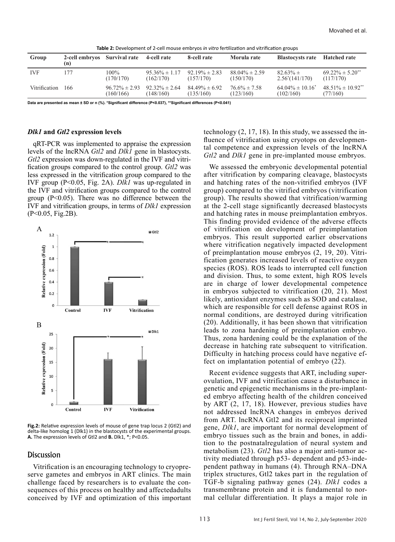| Group         | 2-cell embryos Survival rate<br>(n) |                                 | 4-cell rate                     | 8-cell rate                     | Morula rate                     | <b>Blastocysts rate</b>            | <b>Hatched rate</b>                           |  |  |  |  |
|---------------|-------------------------------------|---------------------------------|---------------------------------|---------------------------------|---------------------------------|------------------------------------|-----------------------------------------------|--|--|--|--|
| <b>IVF</b>    | 177                                 | $100\%$<br>(170/170)            | $95.36\% \pm 1.17$<br>(162/170) | $92.19\% \pm 2.83$<br>(157/170) | $88.04\% \pm 2.59$<br>(150/170) | $82.63\% \pm$<br>$2.56^*(141/170)$ | $69.22\% \pm 5.20$ <sup>**</sup><br>(117/170) |  |  |  |  |
| Vitrification | - 166                               | $96.72\% \pm 2.93$<br>(160/166) | $92.32\% \pm 2.64$<br>(148/160) | $84.49\% \pm 6.92$<br>(135/160) | $76.6\% \pm 7.58$<br>(123/160)  | $64.04\% \pm 10.16^*$<br>(102/160) | $48.51\% \pm 10.92$ <sup>**</sup><br>(77/160) |  |  |  |  |

**Table 2:** Development of 2-cell mouse embryos *in vitro* fertilization and vitrification groups

**Data are presented as mean ± SD or n (%). \*Significant difference (P<0.037), \*\*Significant differences (P<0.041)**

#### *Dlk1* **and** *Gtl2* **expression levels**

qRT-PCR was implemented to appraise the expression levels of the lncRNA *Gtl2* and *Dlk1* gene in blastocysts. *Gtl2* expression was down-regulated in the IVF and vitrification groups compared to the control group. *Gtl2* was less expressed in the vitrification group compared to the IVF group (P<0.05, Fig. 2A). *Dlk1* was up-regulated in the IVF and vitrification groups compared to the control group  $(P<0.05)$ . There was no difference between the IVF and vitrification groups, in terms of *Dlk1* expression (P<0.05, Fig.2B).



**Fig.2:** Relative expression levels of mouse of gene trap locus 2 (Gtl2) and delta-like homolog 1 (Dlk1) in the blastocysts of the experimental groups. **A.** The expression levels of Gtl2 and **B.** Dlk1, \*; P<0.05.

### **Discussion**

Vitrification is an encouraging technology to cryopreserve gametes and embryos in ART clinics. The main challenge faced by researchers is to evaluate the consequences of this process on healthy and affectedadults conceived by IVF and optimization of this important technology (2, 17, 18). In this study, we assessed the influence of vitrification using cryotops on developmental competence and expression levels of the lncRNA *Gtl2* and *Dlk1* gene in pre-implanted mouse embryos.

We assessed the embryonic developmental potential after vitrification by comparing cleavage, blastocysts and hatching rates of the non-vitrified embryos (IVF group) compared to the vitrified embryos (vitrification group). The results showed that vitrification/warming at the 2-cell stage significantly decreased blastocysts and hatching rates in mouse preimplantation embryos. This finding provided evidence of the adverse effects of vitrification on development of preimplantation embryos. This result supported earlier observations where vitrification negatively impacted development of preimplantation mouse embryos (2, 19, 20). Vitrification generates increased levels of reactive oxygen species (ROS). ROS leads to interrupted cell function and division. Thus, to some extent, high ROS levels are in charge of lower developmental competence in embryos subjected to vitrification (20, 21). Most likely, antioxidant enzymes such as SOD and catalase, which are responsible for cell defense against ROS in normal conditions, are destroyed during vitrification (20). Additionally, it has been shown that vitrification leads to zona hardening of preimplantation embryo. Thus, zona hardening could be the explanation of the decrease in hatching rate subsequent to vitrification. Difficulty in hatching process could have negative effect on implantation potential of embryo (22).

Recent evidence suggests that ART, including superovulation, IVF and vitrification cause a disturbance in genetic and epigenetic mechanisms in the pre-implanted embryo affecting health of the children conceived by ART (2, 17, 18). However, previous studies have not addressed lncRNA changes in embryos derived from ART. lncRNA Gtl2 and its reciprocal imprinted gene, *Dlk1*, are important for normal development of embryo tissues such as the brain and bones, in addition to the postnatalregulation of neural system and metabolism (23). *Gtl2* has also a major anti-tumor activity mediated through p53- dependent and p53-independent pathway in humans (4). Through RNA–DNA triplex structures, Gtl2 takes part in the regulation of TGF-b signaling pathway genes (24). *Dlk1* codes a transmembrane protein and it is fundamental to normal cellular differentiation. It plays a major role in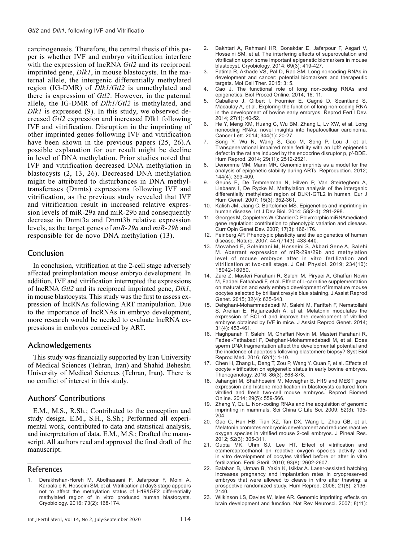carcinogenesis. Therefore, the central thesis of this paper is whether IVF and embryo vitrification interfere with the expression of lncRNA *Gtl2* and its reciprocal imprinted gene, *Dlk1*, in mouse blastocysts. In the maternal allele, the intergenic differentially methylated region (IG-DMR) of *Dlk1/Gtl2* is unmethylated and there is expression of *Gtl2*. However, in the paternal allele, the IG-DMR of *Dlk1/Gtl2* is methylated, and *Dlk1* is expressed (9). In this study, we observed decreased *Gtl2* expression and increased Dlk1 following IVF and vitrification. Disruption in the imprinting of other imprinted genes following IVF and vitrification have been shown in the previous papers (25, 26).A possible explanation for our result might be decline in level of DNA methylation. Prior studies noted that IVF and vitrification decreased DNA methylation in blastocysts (2, 13, 26). Decreased DNA methylation might be attributed to disturbances in DNA methyltransferases (Dnmts) expressions following IVF and vitrification, as the previous study revealed that IVF and vitrification result in increased relative expression levels of miR-29a and miR-29b and consequently decrease in Dnmt3a and Dnmt3b relative expression levels, as the target genes of *miR-29a* and *miR-29b* and responsible for de novo DNA methylation (13).

### Conclusion

In conclusion, vitrification at the 2-cell stage adversely affected preimplantation mouse embryo development. In addition, IVF and vitrification interrupted the expressions of lncRNA *Gtl2* and its reciprocal imprinted gene, *Dlk1*, in mouse blastocysts. This study was the first to assess expression of lncRNAs following ART manipulation. Due to the importance of lncRNAs in embryo development, more research would be needed to evaluate lncRNA expressions in embryos conceived by ART.

### Acknowledgements

This study was financially supported by Iran University of Medical Sciences (Tehran, Iran) and Shahid Beheshti University of Medical Sciences (Tehran, Iran). There is no conflict of interest in this study.

## Authors' Contributions

E.M., M.S., R.Sh.; Contributed to the conception and study design. E.M., S.H., S.Sh.; Performed all experimental work, contributed to data and statistical analysis, and interpretation of data. E.M., M.S.; Drafted the manuscript. All authors read and approved the final draft of the manuscript.

### References

- 3. Fatima R, Akhade VS, Pal D, Rao SM. Long noncoding RNAs in development and cancer: potential biomarkers and therapeutic targets. Mol Cell Ther. 2015; 3: 5.
- 4. Cao J. The functional role of long non-coding RNAs and epigenetics. Biol Proced Online. 2014; 16: 11.
- 5. Caballero J, Gilbert I, Fournier E, Gagné D, Scantland S, Macaulay A, et al. Exploring the function of long non-coding RNA in the development of bovine early embryos. Reprod Fertil Dev. 2014; 27(1): 40-52.
- 6. He Y, Meng XM, Huang C, Wu BM, Zhang L, Lv XW, et al. Long noncoding RNAs: novel insights into hepatocelluar carcinoma. Cancer Lett. 2014; 344(1): 20-27.
- 7. Song Y, Wu N, Wang S, Gao M, Song P, Lou J, et al. Transgenerational impaired male fertility with an Igf2 epigenetic defect in the rat are induced by the endocrine disruptor p, p′-DDE. Hum Reprod. 2014; 29(11): 2512-2521.
- 8. Denomme MM, Mann MR. Genomic imprints as a model for the analysis of epigenetic stability during ARTs. Reproduction. 2012; 144(4): 393-409.
- Geuns E, De Temmerman N, Hilven P, Van Steirteghem A, Liebaers I, De Rycke M. Methylation analysis of the intergenic differentially methylated region of DLK1-GTL2 in human. Eur J Hum Genet. 2007; 15(3): 352-361.
- Kalish JM, Jiang C, Bartolomei MS. Epigenetics and imprinting in human disease. Int J Dev Biol. 2014; 58(2-4): 291-298.
- 11. Georges M, Coppieters W, Charlier C. Polymorphic miRNAmediated gene regulation: contribution to phenotypic variation and disease. Curr Opin Genet Dev. 2007; 17(3): 166-176.
- 12. Feinberg AP. Phenotypic plasticity and the epigenetics of human disease. Nature. 2007; 447(7143): 433-440.
- 13. Movahed E, Soleimani M, Hosseini S, Akbari Sene A, Salehi M. Aberrant expression of miR-29a/29b and methylation level of mouse embryos after in vitro fertilization and vitrification at two-cell stage. J Cell Physiol. 2019; 234(10): 18942-18950.
- 14. Zare Z, Masteri Farahani R, Salehi M, Piryaei A, Ghaffari Novin M, Fadaei Fathabadi F, et al. Effect of L-carnitine supplementation on maturation and early embryo development of immature mouse oocytes selected by brilliant cresyle blue staining. J Assist Reprod Genet. 2015; 32(4): 635-643.
- 15. Dehghani-Mohammadabadi M, Salehi M, Farifteh F, Nematollahi S, Arefian E, Hajjarizadeh A, et al. Melatonin modulates the expression of BCL-xl and improve the development of vitrified embryos obtained by IVF in mice. J Assist Reprod Genet. 2014; 31(4): 453-461.
- 16. Haghpanah T, Salehi M, Ghaffari Novin M, Masteri Farahani R, Fadaei-Fathabadi F, Dehghani-Mohammadabadi M, et al. Does sperm DNA fragmentation affect the developmental potential and the incidence of apoptosis following blastomere biopsy? Syst Biol Reprod Med. 2016; 62(1): 1-10.
- 17. Chen H, Zhang L, Deng T, Zou P, Wang Y, Quan F, et al. Effects of oocyte vitrification on epigenetic status in early bovine embryos. Theriogenology. 2016; 86(3): 868-878.
- 18. Jahangiri M, Shahhoseini M, Movaghar B. H19 and MEST gene expression and histone modification in blastocysts cultured from vitrified and fresh two-cell mouse embryos. Reprod Biomed Online. 2014; 29(5): 559-566.
- 19. Zhang Y, Qu L. Non-coding RNAs and the acquisition of genomic imprinting in mammals. Sci China C Life Sci. 2009; 52(3): 195- 204.
- 20. Gao C, Han HB, Tian XZ, Tan DX, Wang L, Zhou GB, et al. Melatonin promotes embryonic development and reduces reactive oxygen species in vitrified mouse 2-cell embryos. J Pineal Res. 2012; 52(3): 305-311.
- 21. Gupta MK, Uhm SJ, Lee HT. Effect of vitrification and etamercaptoethanol on reactive oxygen species activity and in vitro development of oocytes vitrified before or after in vitro fertilization. Fertil Steril. 2010; 93(8): 2602-2607.
- 22. Balaban B, Urman B, Yakin K, Isiklar A. Laser-assisted hatching increases pregnancy and implantation rates in cryopreserved embryos that were allowed to cleave in vitro after thawing: a prospective randomized study. Hum Reprod. 2006; 21(8): 2136- 2140.
- 23. Wilkinson LS, Davies W, Isles AR. Genomic imprinting effects on brain development and function. Nat Rev Neurosci. 2007; 8(11):

<sup>1.</sup> Derakhshan-Horeh M, Abolhassani F, Jafarpour F, Moini A, Karbalaie K, Hosseini SM, et al. Vitrification at day3 stage appears not to affect the methylation status of H19/IGF2 differentially methylated region of in vitro produced human blastocysts. Cryobiology. 2016; 73(2): 168-174.